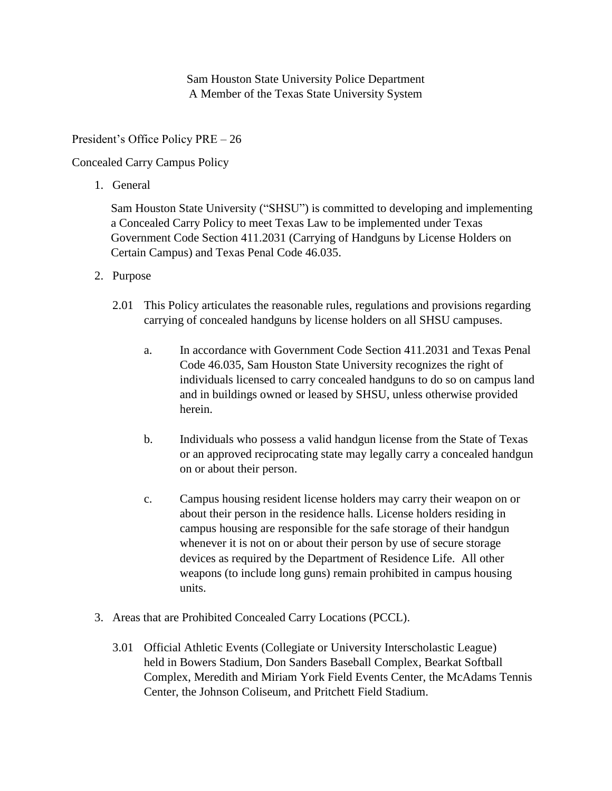Sam Houston State University Police Department A Member of the Texas State University System

President's Office Policy PRE – 26

Concealed Carry Campus Policy

1. General

Sam Houston State University ("SHSU") is committed to developing and implementing a Concealed Carry Policy to meet Texas Law to be implemented under Texas Government Code Section 411.2031 (Carrying of Handguns by License Holders on Certain Campus) and Texas Penal Code 46.035.

- 2. Purpose
	- 2.01 This Policy articulates the reasonable rules, regulations and provisions regarding carrying of concealed handguns by license holders on all SHSU campuses.
		- a. In accordance with Government Code Section 411.2031 and Texas Penal Code 46.035, Sam Houston State University recognizes the right of individuals licensed to carry concealed handguns to do so on campus land and in buildings owned or leased by SHSU, unless otherwise provided herein.
		- b. Individuals who possess a valid handgun license from the State of Texas or an approved reciprocating state may legally carry a concealed handgun on or about their person.
		- c. Campus housing resident license holders may carry their weapon on or about their person in the residence halls. License holders residing in campus housing are responsible for the safe storage of their handgun whenever it is not on or about their person by use of secure storage devices as required by the Department of Residence Life. All other weapons (to include long guns) remain prohibited in campus housing units.
- 3. Areas that are Prohibited Concealed Carry Locations (PCCL).
	- 3.01 Official Athletic Events (Collegiate or University Interscholastic League) held in Bowers Stadium, Don Sanders Baseball Complex, Bearkat Softball Complex, Meredith and Miriam York Field Events Center, the McAdams Tennis Center, the Johnson Coliseum, and Pritchett Field Stadium.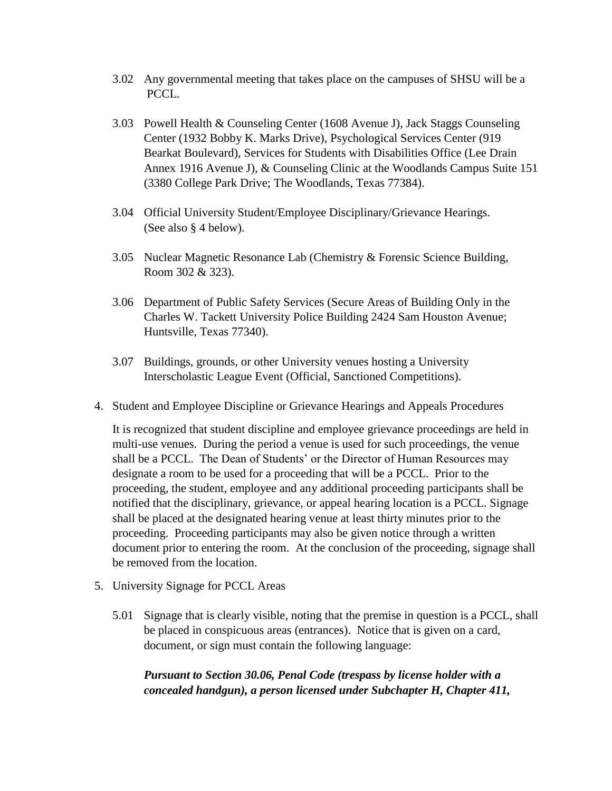- 3.02 Any governmental meeting that takes place on the campuses of SHSU will be a PCCL.
- 3.03 Powell Health & Counseling Center (1608 Avenue J), Jack Staggs Counseling Center (1932 Bobby K. Marks Drive), Psychological Services Center (919 Bearkat Boulevard), Services for Students with Disabilities Office (Lee Drain Annex 1916 Avenue J), & Counseling Clinic at the Woodlands Campus Suite 151 (3380 College Park Drive; The Woodlands, Texas 77384).
- 3.04 Official University Student/Employee Disciplinary/Grievance Hearings. (See also § 4 below).
- 3.05 Nuclear Magnetic Resonance Lab (Chemistry & Forensic Science Building, Room 302 & 323).
- 3.06 Department of Public Safety Services (Secure Areas of Building Only in the Charles W. Tackett University Police Building 2424 Sam Houston Avenue; Huntsville, Texas 77340).
- 3.07 Buildings, grounds, or other University venues hosting a University Interscholastic League Event (Official, Sanctioned Competitions).
- 4. Student and Employee Discipline or Grievance Hearings and Appeals Procedures

It is recognized that student discipline and employee grievance proceedings are held in multi-use venues. During the period a venue is used for such proceedings, the venue shall be a PCCL. The Dean of Students' or the Director of Human Resources may designate a room to be used for a proceeding that will be a PCCL. Prior to the proceeding, the student, employee and any additional proceeding participants shall be notified that the disciplinary, grievance, or appeal hearing location is a PCCL. Signage shall be placed at the designated hearing venue at least thirty minutes prior to the proceeding. Proceeding participants may also be given notice through a written document prior to entering the room. At the conclusion of the proceeding, signage shall be removed from the location.

- 5. University Signage for PCCL Areas
	- 5.01 Signage that is clearly visible, noting that the premise in question is a PCCL, shall be placed in conspicuous areas (entrances). Notice that is given on a card, document, or sign must contain the following language:

*Pursuant to Section 30.06, Penal Code (trespass by license holder with a concealed handgun), a person licensed under Subchapter H, Chapter 411,*